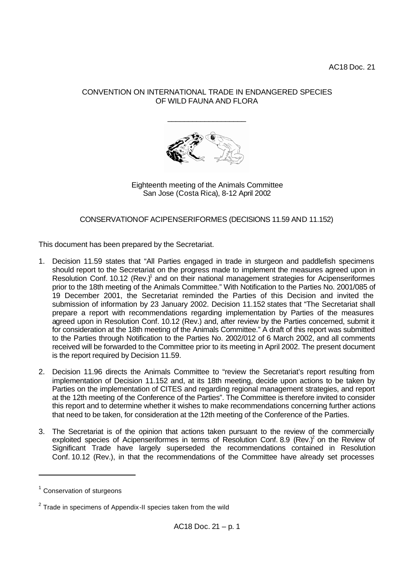# CONVENTION ON INTERNATIONAL TRADE IN ENDANGERED SPECIES OF WILD FAUNA AND FLORA

\_\_\_\_\_\_\_\_\_\_\_\_\_\_\_\_\_\_\_



Eighteenth meeting of the Animals Committee San Jose (Costa Rica), 8-12 April 2002

CONSERVATION OF ACIPENSERIFORMES (DECISIONS 11.59 AND 11.152)

This document has been prepared by the Secretariat.

- 1. Decision 11.59 states that "All Parties engaged in trade in sturgeon and paddlefish specimens should report to the Secretariat on the progress made to implement the measures agreed upon in Resolution Conf. 10.12  $(Rev)^{1}$  and on their national management strategies for Acipenseriformes prior to the 18th meeting of the Animals Committee." With Notification to the Parties No. 2001/085 of 19 December 2001, the Secretariat reminded the Parties of this Decision and invited the submission of information by 23 January 2002. Decision 11.152 states that "The Secretariat shall prepare a report with recommendations regarding implementation by Parties of the measures agreed upon in Resolution Conf. 10.12 (Rev.) and, after review by the Parties concerned, submit it for consideration at the 18th meeting of the Animals Committee." A draft of this report was submitted to the Parties through Notification to the Parties No. 2002/012 of 6 March 2002, and all comments received will be forwarded to the Committee prior to its meeting in April 2002. The present document is the report required by Decision 11.59.
- 2. Decision 11.96 directs the Animals Committee to "review the Secretariat's report resulting from implementation of Decision 11.152 and, at its 18th meeting, decide upon actions to be taken by Parties on the implementation of CITES and regarding regional management strategies, and report at the 12th meeting of the Conference of the Parties". The Committee is therefore invited to consider this report and to determine whether it wishes to make recommendations concerning further actions that need to be taken, for consideration at the 12th meeting of the Conference of the Parties.
- 3. The Secretariat is of the opinion that actions taken pursuant to the review of the commercially exploited species of Acipenseriformes in terms of Resolution Conf. 8.9 (Rev.) $^2$  on the Review of Significant Trade have largely superseded the recommendations contained in Resolution Conf. 10.12 (Rev.), in that the recommendations of the Committee have already set processes

l

 $1$  Conservation of sturgeons

 $2$  Trade in specimens of Appendix-II species taken from the wild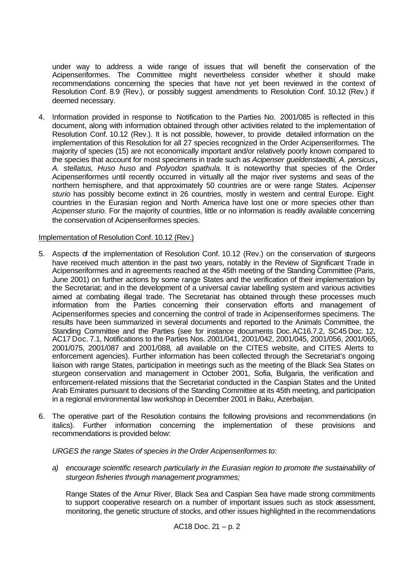under way to address a wide range of issues that will benefit the conservation of the Acipenseriformes. The Committee might nevertheless consider whether it should make recommendations concerning the species that have not yet been reviewed in the context of Resolution Conf. 8.9 (Rev.), or possibly suggest amendments to Resolution Conf. 10.12 (Rev.) if deemed necessary.

4. Information provided in response to Notification to the Parties No. 2001/085 is reflected in this document, along with information obtained through other activities related to the implementation of Resolution Conf. 10.12 (Rev.). It is not possible, however, to provide detailed information on the implementation of this Resolution for all 27 species recognized in the Order Acipenseriformes. The majority of species (15) are not economically important and/or relatively poorly known compared to the species that account for most specimens in trade such as *Acipenser gueldenstaedtii, A. persicus, A. stellatus, Huso huso* and *Polyodon spathula*. It is noteworthy that species of the Order Acipenseriformes until recently occurred in virtually all the major river systems and seas of the northern hemisphere, and that approximately 50 countries are or were range States. *Acipenser sturio* has possibly become extinct in 26 countries, mostly in western and central Europe. Eight countries in the Eurasian region and North America have lost one or more species other than *Acipenser sturio.* For the majority of countries, little or no information is readily available concerning the conservation of Acipenseriformes species.

### Implementation of Resolution Conf. 10.12 (Rev.)

- 5. Aspects of the implementation of Resolution Conf. 10.12 (Rev.) on the conservation of sturgeons have received much attention in the past two years, notably in the Review of Significant Trade in Acipenseriformes and in agreements reached at the 45th meeting of the Standing Committee (Paris, June 2001) on further actions by some range States and the verification of their implementation by the Secretariat; and in the development of a universal caviar labelling system and various activities aimed at combating illegal trade. The Secretariat has obtained through these processes much information from the Parties concerning their conservation efforts and management of Acipenseriformes species and concerning the control of trade in Acipenseriformes specimens. The results have been summarized in several documents and reported to the Animals Committee, the Standing Committee and the Parties (see for instance documents Doc.AC16.7.2, SC45 Doc. 12, AC17 Doc. 7.1, Notifications to the Parties Nos. 2001/041, 2001/042, 2001/045, 2001/056, 2001/065, 2001/075, 2001/087 and 2001/088, all available on the CITES website, and CITES Alerts to enforcement agencies). Further information has been collected through the Secretariat's ongoing liaison with range States, participation in meetings such as the meeting of the Black Sea States on sturgeon conservation and management in October 2001, Sofia, Bulgaria, the verification and enforcement-related missions that the Secretariat conducted in the Caspian States and the United Arab Emirates pursuant to decisions of the Standing Committee at its 45th meeting, and participation in a regional environmental law workshop in December 2001 in Baku, Azerbaijan.
- 6. The operative part of the Resolution contains the following provisions and recommendations (in italics). Further information concerning the implementation of these provisions and recommendations is provided below:

*URGES the range States of species in the Order Acipenseriformes to*:

*a) encourage scientific research particularly in the Eurasian region to promote the sustainability of sturgeon fisheries through management programmes;* 

Range States of the Amur River, Black Sea and Caspian Sea have made strong commitments to support cooperative research on a number of important issues such as stock assessment, monitoring, the genetic structure of stocks, and other issues highlighted in the recommendations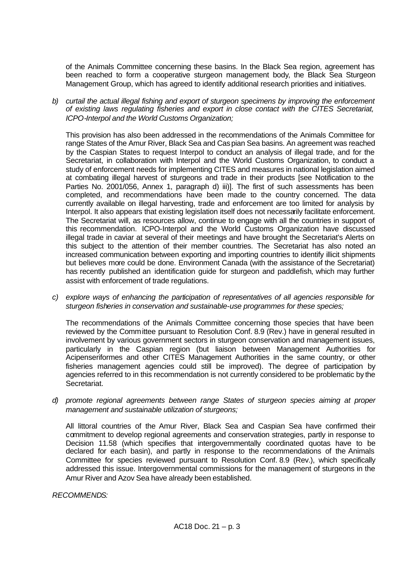of the Animals Committee concerning these basins. In the Black Sea region, agreement has been reached to form a cooperative sturgeon management body, the Black Sea Sturgeon Management Group, which has agreed to identify additional research priorities and initiatives.

*b) curtail the actual illegal fishing and export of sturgeon specimens by improving the enforcement of existing laws regulating fisheries and export in close contact with the CITES Secretariat, ICPO-Interpol and the World Customs Organization;* 

This provision has also been addressed in the recommendations of the Animals Committee for range States of the Amur River, Black Sea and Caspian Sea basins. An agreement was reached by the Caspian States to request Interpol to conduct an analysis of illegal trade, and for the Secretariat, in collaboration with Interpol and the World Customs Organization, to conduct a study of enforcement needs for implementing CITES and measures in national legislation aimed at combating illegal harvest of sturgeons and trade in their products [see Notification to the Parties No. 2001/056, Annex 1, paragraph d) iii)]. The first of such assessments has been completed, and recommendations have been made to the country concerned. The data currently available on illegal harvesting, trade and enforcement are too limited for analysis by Interpol. It also appears that existing legislation itself does not necessarily facilitate enforcement. The Secretariat will, as resources allow, continue to engage with all the countries in support of this recommendation. ICPO-Interpol and the World Customs Organization have discussed illegal trade in caviar at several of their meetings and have brought the Secretariat's Alerts on this subject to the attention of their member countries. The Secretariat has also noted an increased communication between exporting and importing countries to identify illicit shipments but believes more could be done. Environment Canada (with the assistance of the Secretariat) has recently published an identification guide for sturgeon and paddlefish, which may further assist with enforcement of trade regulations.

*c) explore ways of enhancing the participation of representatives of all agencies responsible for sturgeon fisheries in conservation and sustainable-use programmes for these species;* 

The recommendations of the Animals Committee concerning those species that have been reviewed by the Committee pursuant to Resolution Conf. 8.9 (Rev.) have in general resulted in involvement by various government sectors in sturgeon conservation and management issues, particularly in the Caspian region (but liaison between Management Authorities for Acipenseriformes and other CITES Management Authorities in the same country, or other fisheries management agencies could still be improved). The degree of participation by agencies referred to in this recommendation is not currently considered to be problematic by the Secretariat.

*d) promote regional agreements between range States of sturgeon species aiming at proper management and sustainable utilization of sturgeons;* 

All littoral countries of the Amur River, Black Sea and Caspian Sea have confirmed their commitment to develop regional agreements and conservation strategies, partly in response to Decision 11.58 (which specifies that intergovernmentally coordinated quotas have to be declared for each basin), and partly in response to the recommendations of the Animals Committee for species reviewed pursuant to Resolution Conf. 8.9 (Rev.), which specifically addressed this issue. Intergovernmental commissions for the management of sturgeons in the Amur River and Azov Sea have already been established.

*RECOMMENDS:*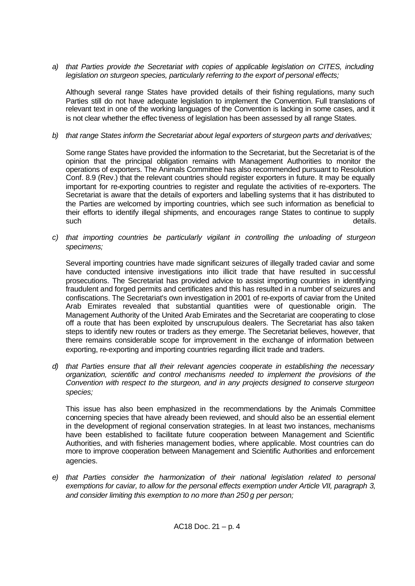*a) that Parties provide the Secretariat with copies of applicable legislation on CITES, including legislation on sturgeon species, particularly referring to the export of personal effects;* 

Although several range States have provided details of their fishing regulations, many such Parties still do not have adequate legislation to implement the Convention. Full translations of relevant text in one of the working languages of the Convention is lacking in some cases, and it is not clear whether the effec tiveness of legislation has been assessed by all range States.

## *b) that range States inform the Secretariat about legal exporters of sturgeon parts and derivatives;*

Some range States have provided the information to the Secretariat, but the Secretariat is of the opinion that the principal obligation remains with Management Authorities to monitor the operations of exporters. The Animals Committee has also recommended pursuant to Resolution Conf. 8.9 (Rev.) that the relevant countries should register exporters in future. It may be equally important for re-exporting countries to register and regulate the activities of re-exporters. The Secretariat is aware that the details of exporters and labelling systems that it has distributed to the Parties are welcomed by importing countries, which see such information as beneficial to their efforts to identify illegal shipments, and encourages range States to continue to supply such and the state of the state of the state of the state of the state of the state of the state of the state o

*c) that importing countries be particularly vigilant in controlling the unloading of sturgeon specimens;* 

Several importing countries have made significant seizures of illegally traded caviar and some have conducted intensive investigations into illicit trade that have resulted in successful prosecutions. The Secretariat has provided advice to assist importing countries in identifying fraudulent and forged permits and certificates and this has resulted in a number of seizures and confiscations. The Secretariat's own investigation in 2001 of re-exports of caviar from the United Arab Emirates revealed that substantial quantities were of questionable origin. The Management Authority of the United Arab Emirates and the Secretariat are cooperating to close off a route that has been exploited by unscrupulous dealers. The Secretariat has also taken steps to identify new routes or traders as they emerge. The Secretariat believes, however, that there remains considerable scope for improvement in the exchange of information between exporting, re-exporting and importing countries regarding illicit trade and traders.

*d) that Parties ensure that all their relevant agencies cooperate in establishing the necessary organization, scientific and control mechanisms needed to implement the provisions of the Convention with respect to the sturgeon, and in any projects designed to conserve sturgeon species;* 

This issue has also been emphasized in the recommendations by the Animals Committee concerning species that have already been reviewed, and should also be an essential element in the development of regional conservation strategies. In at least two instances, mechanisms have been established to facilitate future cooperation between Management and Scientific Authorities, and with fisheries management bodies, where applicable. Most countries can do more to improve cooperation between Management and Scientific Authorities and enforcement agencies.

*e) that Parties consider the harmonization of their national legislation related to personal exemptions for caviar, to allow for the personal effects exemption under Article VII, paragraph 3, and consider limiting this exemption to no more than 250 g per person;*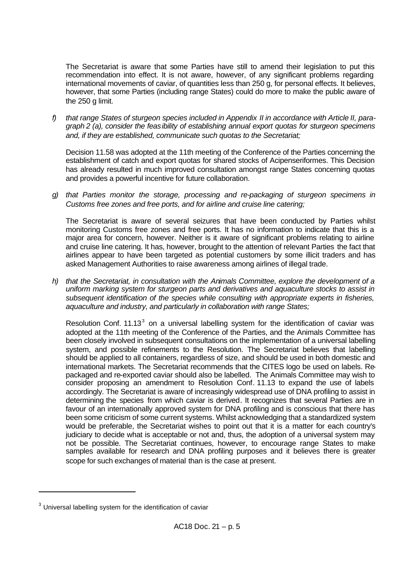The Secretariat is aware that some Parties have still to amend their legislation to put this recommendation into effect. It is not aware, however, of any significant problems regarding international movements of caviar, of quantities less than 250 g, for personal effects. It believes, however, that some Parties (including range States) could do more to make the public aware of the 250 g limit.

*f) that range States of sturgeon species included in Appendix II in accordance with Article II, paragraph 2 (a), consider the feasibility of establishing annual export quotas for sturgeon specimens and, if they are established, communicate such quotas to the Secretariat;* 

Decision 11.58 was adopted at the 11th meeting of the Conference of the Parties concerning the establishment of catch and export quotas for shared stocks of Acipenseriformes. This Decision has already resulted in much improved consultation amongst range States concerning quotas and provides a powerful incentive for future collaboration.

*g) that Parties monitor the storage, processing and re-packaging of sturgeon specimens in Customs free zones and free ports, and for airline and cruise line catering;* 

The Secretariat is aware of several seizures that have been conducted by Parties whilst monitoring Customs free zones and free ports. It has no information to indicate that this is a major area for concern, however. Neither is it aware of significant problems relating to airline and cruise line catering. It has, however, brought to the attention of relevant Parties the fact that airlines appear to have been targeted as potential customers by some illicit traders and has asked Management Authorities to raise awareness among airlines of illegal trade.

*h) that the Secretariat, in consultation with the Animals Committee, explore the development of a uniform marking system for sturgeon parts and derivatives and aquaculture stocks to assist in subsequent identification of the species while consulting with appropriate experts in fisheries, aquaculture and industry, and particularly in collaboration with range States;* 

Resolution Conf. 11.13 $3$  on a universal labelling system for the identification of caviar was adopted at the 11th meeting of the Conference of the Parties, and the Animals Committee has been closely involved in subsequent consultations on the implementation of a universal labelling system, and possible refinements to the Resolution. The Secretariat believes that labelling should be applied to all containers, regardless of size, and should be used in both domestic and international markets. The Secretariat recommends that the CITES logo be used on labels. Repackaged and re-exported caviar should also be labelled. The Animals Committee may wish to consider proposing an amendment to Resolution Conf. 11.13 to expand the use of labels accordingly. The Secretariat is aware of increasingly widespread use of DNA profiling to assist in determining the species from which caviar is derived. It recognizes that several Parties are in favour of an internationally approved system for DNA profiling and is conscious that there has been some criticism of some current systems. Whilst acknowledging that a standardized system would be preferable, the Secretariat wishes to point out that it is a matter for each country's judiciary to decide what is acceptable or not and, thus, the adoption of a universal system may not be possible. The Secretariat continues, however, to encourage range States to make samples available for research and DNA profiling purposes and it believes there is greater scope for such exchanges of material than is the case at present.

l

 $3$  Universal labelling system for the identification of caviar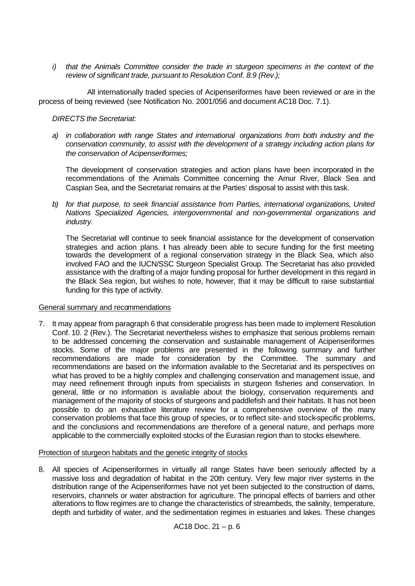*i) that the Animals Committee consider the trade in sturgeon specimens in the context of the review of significant trade, pursuant to Resolution Conf. 8.9 (Rev.);* 

All internationally traded species of Acipenseriformes have been reviewed or are in the process of being reviewed (see Notification No. 2001/056 and document AC18 Doc. 7.1).

### *DIRECTS the Secretariat:*

*a) in collaboration with range States and international organizations from both industry and the conservation community, to assist with the development of a strategy including action plans for the conservation of Acipenseriformes;* 

The development of conservation strategies and action plans have been incorporated in the recommendations of the Animals Committee concerning the Amur River, Black Sea and Caspian Sea, and the Secretariat remains at the Parties' disposal to assist with this task.

*b) for that purpose, to seek financial assistance from Parties, international organizations, United Nations Specialized Agencies, intergovernmental and non-governmental organizations and industry.* 

The Secretariat will continue to seek financial assistance for the development of conservation strategies and action plans. I has already been able to secure funding for the first meeting towards the development of a regional conservation strategy in the Black Sea, which also involved FAO and the IUCN/SSC Sturgeon Specialist Group. The Secretariat has also provided assistance with the drafting of a major funding proposal for further development in this regard in the Black Sea region, but wishes to note, however, that it may be difficult to raise substantial funding for this type of activity.

### General summary and recommendations

7. It may appear from paragraph 6 that considerable progress has been made to implement Resolution Conf. 10. 2 (Rev.). The Secretariat nevertheless wishes to emphasize that serious problems remain to be addressed concerning the conservation and sustainable management of Acipenseriformes stocks. Some of the major problems are presented in the following summary and further recommendations are made for consideration by the Committee. The summary and recommendations are based on the information available to the Secretariat and its perspectives on what has proved to be a highly complex and challenging conservation and management issue, and may need refinement through inputs from specialists in sturgeon fisheries and conservation. In general, little or no information is available about the biology, conservation requirements and management of the majority of stocks of sturgeons and paddlefish and their habitats. It has not been possible to do an exhaustive literature review for a comprehensive overview of the many conservation problems that face this group of species, or to reflect site- and stock-specific problems, and the conclusions and recommendations are therefore of a general nature, and perhaps more applicable to the commercially exploited stocks of the Eurasian region than to stocks elsewhere.

### Protection of sturgeon habitats and the genetic integrity of stocks

8. All species of Acipenseriformes in virtually all range States have been seriously affected by a massive loss and degradation of habitat in the 20th century. Very few major river systems in the distribution range of the Acipenseriformes have not yet been subjected to the construction of dams, reservoirs, channels or water abstraction for agriculture. The principal effects of barriers and other alterations to flow regimes are to change the characteristics of streambeds, the salinity, temperature, depth and turbidity of water, and the sedimentation regimes in estuaries and lakes. These changes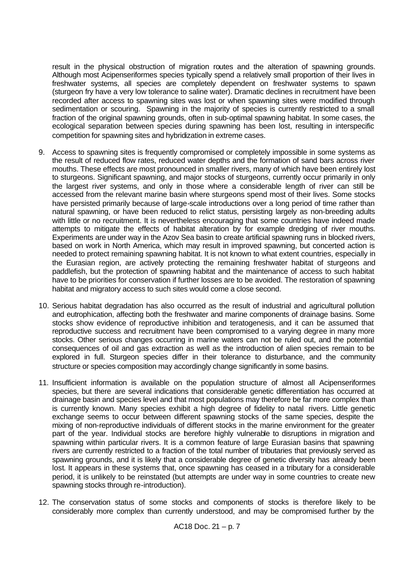result in the physical obstruction of migration routes and the alteration of spawning grounds. Although most Acipenseriformes species typically spend a relatively small proportion of their lives in freshwater systems, all species are completely dependent on freshwater systems to spawn (sturgeon fry have a very low tolerance to saline water). Dramatic declines in recruitment have been recorded after access to spawning sites was lost or when spawning sites were modified through sedimentation or scouring. Spawning in the majority of species is currently restricted to a small fraction of the original spawning grounds, often in sub-optimal spawning habitat. In some cases, the ecological separation between species during spawning has been lost, resulting in interspecific competition for spawning sites and hybridization in extreme cases.

- 9. Access to spawning sites is frequently compromised or completely impossible in some systems as the result of reduced flow rates, reduced water depths and the formation of sand bars across river mouths. These effects are most pronounced in smaller rivers, many of which have been entirely lost to sturgeons. Significant spawning, and major stocks of sturgeons, currently occur primarily in only the largest river systems, and only in those where a considerable length of river can still be accessed from the relevant marine basin where sturgeons spend most of their lives. Some stocks have persisted primarily because of large-scale introductions over a long period of time rather than natural spawning, or have been reduced to relict status, persisting largely as non-breeding adults with little or no recruitment. It is nevertheless encouraging that some countries have indeed made attempts to mitigate the effects of habitat alteration by for example dredging of river mouths. Experiments are under way in the Azov Sea basin to create artificial spawning runs in blocked rivers, based on work in North America, which may result in improved spawning, but concerted action is needed to protect remaining spawning habitat. It is not known to what extent countries, especially in the Eurasian region, are actively protecting the remaining freshwater habitat of sturgeons and paddlefish, but the protection of spawning habitat and the maintenance of access to such habitat have to be priorities for conservation if further losses are to be avoided. The restoration of spawning habitat and migratory access to such sites would come a close second.
- 10. Serious habitat degradation has also occurred as the result of industrial and agricultural pollution and eutrophication, affecting both the freshwater and marine components of drainage basins. Some stocks show evidence of reproductive inhibition and teratogenesis, and it can be assumed that reproductive success and recruitment have been compromised to a varying degree in many more stocks. Other serious changes occurring in marine waters can not be ruled out, and the potential consequences of oil and gas extraction as well as the introduction of alien species remain to be explored in full. Sturgeon species differ in their tolerance to disturbance, and the community structure or species composition may accordingly change significantly in some basins.
- 11. Insufficient information is available on the population structure of almost all Acipenseriformes species, but there are several indications that considerable genetic differentiation has occurred at drainage basin and species level and that most populations may therefore be far more complex than is currently known. Many species exhibit a high degree of fidelity to natal rivers. Little genetic exchange seems to occur between different spawning stocks of the same species, despite the mixing of non-reproductive individuals of different stocks in the marine environment for the greater part of the year. Individual stocks are therefore highly vulnerable to disruptions in migration and spawning within particular rivers. It is a common feature of large Eurasian basins that spawning rivers are currently restricted to a fraction of the total number of tributaries that previously served as spawning grounds, and it is likely that a considerable degree of genetic diversity has already been lost. It appears in these systems that, once spawning has ceased in a tributary for a considerable period, it is unlikely to be reinstated (but attempts are under way in some countries to create new spawning stocks through re-introduction).
- 12. The conservation status of some stocks and components of stocks is therefore likely to be considerably more complex than currently understood, and may be compromised further by the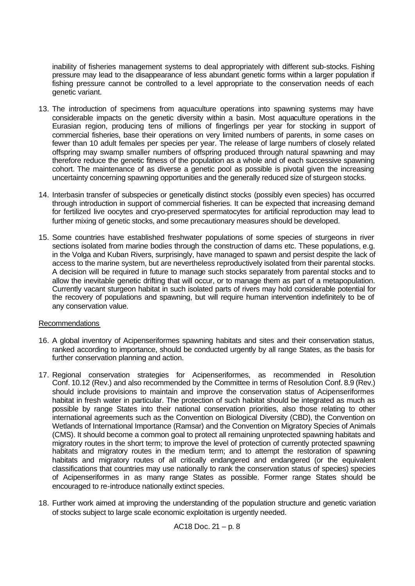inability of fisheries management systems to deal appropriately with different sub-stocks. Fishing pressure may lead to the disappearance of less abundant genetic forms within a larger population if fishing pressure cannot be controlled to a level appropriate to the conservation needs of each genetic variant.

- 13. The introduction of specimens from aquaculture operations into spawning systems may have considerable impacts on the genetic diversity within a basin. Most aquaculture operations in the Eurasian region, producing tens of millions of fingerlings per year for stocking in support of commercial fisheries, base their operations on very limited numbers of parents, in some cases on fewer than 10 adult females per species per year. The release of large numbers of closely related offspring may swamp smaller numbers of offspring produced through natural spawning and may therefore reduce the genetic fitness of the population as a whole and of each successive spawning cohort. The maintenance of as diverse a genetic pool as possible is pivotal given the increasing uncertainty concerning spawning opportunities and the generally reduced size of sturgeon stocks.
- 14. Interbasin transfer of subspecies or genetically distinct stocks (possibly even species) has occurred through introduction in support of commercial fisheries. It can be expected that increasing demand for fertilized live oocytes and cryo-preserved spermatocytes for artificial reproduction may lead to further mixing of genetic stocks, and some precautionary measures should be developed.
- 15. Some countries have established freshwater populations of some species of sturgeons in river sections isolated from marine bodies through the construction of dams etc. These populations, e.g. in the Volga and Kuban Rivers, surprisingly, have managed to spawn and persist despite the lack of access to the marine system, but are nevertheless reproductively isolated from their parental stocks. A decision will be required in future to manage such stocks separately from parental stocks and to allow the inevitable genetic drifting that will occur, or to manage them as part of a metapopulation. Currently vacant sturgeon habitat in such isolated parts of rivers may hold considerable potential for the recovery of populations and spawning, but will require human intervention indefinitely to be of any conservation value.

### Recommendations

- 16. A global inventory of Acipenseriformes spawning habitats and sites and their conservation status, ranked according to importance, should be conducted urgently by all range States, as the basis for further conservation planning and action.
- 17. Regional conservation strategies for Acipenseriformes, as recommended in Resolution Conf. 10.12 (Rev.) and also recommended by the Committee in terms of Resolution Conf. 8.9 (Rev.) should include provisions to maintain and improve the conservation status of Acipenseriformes habitat in fresh water in particular. The protection of such habitat should be integrated as much as possible by range States into their national conservation priorities, also those relating to other international agreements such as the Convention on Biological Diversity (CBD), the Convention on Wetlands of International Importance (Ramsar) and the Convention on Migratory Species of Animals (CMS). It should become a common goal to protect all remaining unprotected spawning habitats and migratory routes in the short term; to improve the level of protection of currently protected spawning habitats and migratory routes in the medium term; and to attempt the restoration of spawning habitats and migratory routes of all critically endangered and endangered (or the equivalent classifications that countries may use nationally to rank the conservation status of species) species of Acipenseriformes in as many range States as possible. Former range States should be encouraged to re-introduce nationally extinct species.
- 18. Further work aimed at improving the understanding of the population structure and genetic variation of stocks subject to large scale economic exploitation is urgently needed.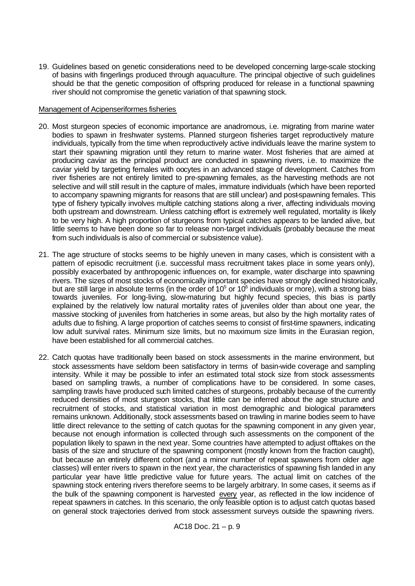19. Guidelines based on genetic considerations need to be developed concerning large-scale stocking of basins with fingerlings produced through aquaculture. The principal objective of such guidelines should be that the genetic composition of offspring produced for release in a functional spawning river should not compromise the genetic variation of that spawning stock.

### Management of Acipenseriformes fisheries

- 20. Most sturgeon species of economic importance are anadromous, i.e. migrating from marine water bodies to spawn in freshwater systems. Planned sturgeon fisheries target reproductively mature individuals, typically from the time when reproductively active individuals leave the marine system to start their spawning migration until they return to marine water. Most fisheries that are aimed at producing caviar as the principal product are conducted in spawning rivers, i.e. to maximize the caviar yield by targeting females with oocytes in an advanced stage of development. Catches from river fisheries are not entirely limited to pre-spawning females, as the harvesting methods are not selective and will still result in the capture of males, immature individuals (which have been reported to accompany spawning migrants for reasons that are still unclear) and post-spawning females. This type of fishery typically involves multiple catching stations along a river, affecting individuals moving both upstream and downstream. Unless catching effort is extremely well regulated, mortality is likely to be very high. A high proportion of sturgeons from typical catches appears to be landed alive, but little seems to have been done so far to release non-target individuals (probably because the meat from such individuals is also of commercial or subsistence value).
- 21. The age structure of stocks seems to be highly uneven in many cases, which is consistent with a pattern of episodic recruitment (i.e. successful mass recruitment takes place in some years only), possibly exacerbated by anthropogenic influences on, for example, water discharge into spawning rivers. The sizes of most stocks of economically important species have strongly declined historically, but are still large in absolute terms (in the order of 10<sup>5</sup> or 10<sup>6</sup> individuals or more), with a strong bias towards juveniles. For long-living, slow-maturing but highly fecund species, this bias is partly explained by the relatively low natural mortality rates of juveniles older than about one year, the massive stocking of juveniles from hatcheries in some areas, but also by the high mortality rates of adults due to fishing. A large proportion of catches seems to consist of first-time spawners, indicating low adult survival rates. Minimum size limits, but no maximum size limits in the Eurasian region, have been established for all commercial catches.
- 22. Catch quotas have traditionally been based on stock assessments in the marine environment, but stock assessments have seldom been satisfactory in terms of basin-wide coverage and sampling intensity. While it may be possible to infer an estimated total stock size from stock assessments based on sampling trawls, a number of complications have to be considered. In some cases, sampling trawls have produced such limited catches of sturgeons, probably because of the currently reduced densities of most sturgeon stocks, that little can be inferred about the age structure and recruitment of stocks, and statistical variation in most demographic and biological parameters remains unknown. Additionally, stock assessments based on trawling in marine bodies seem to have little direct relevance to the setting of catch quotas for the spawning component in any given year, because not enough information is collected through such assessments on the component of the population likely to spawn in the next year. Some countries have attempted to adjust offtakes on the basis of the size and structure of the spawning component (mostly known from the fraction caught), but because an entirely different cohort (and a minor number of repeat spawners from older age classes) will enter rivers to spawn in the next year, the characteristics of spawning fish landed in any particular year have little predictive value for future years. The actual limit on catches of the spawning stock entering rivers therefore seems to be largely arbitrary. In some cases, it seems as if the bulk of the spawning component is harvested every year, as reflected in the low incidence of repeat spawners in catches. In this scenario, the only feasible option is to adjust catch quotas based on general stock trajectories derived from stock assessment surveys outside the spawning rivers.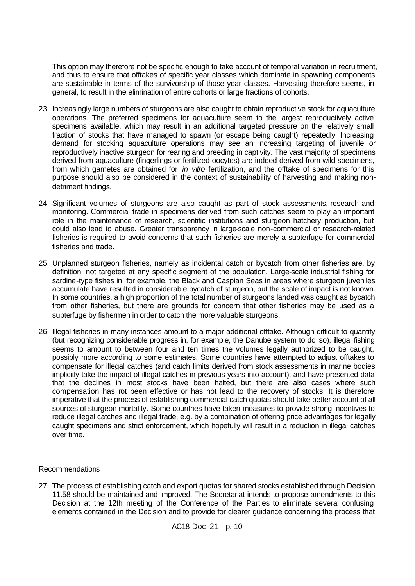This option may therefore not be specific enough to take account of temporal variation in recruitment, and thus to ensure that offtakes of specific year classes which dominate in spawning components are sustainable in terms of the survivorship of those year classes. Harvesting therefore seems, in general, to result in the elimination of entire cohorts or large fractions of cohorts.

- 23. Increasingly large numbers of sturgeons are also caught to obtain reproductive stock for aquaculture operations. The preferred specimens for aquaculture seem to the largest reproductively active specimens available, which may result in an additional targeted pressure on the relatively small fraction of stocks that have managed to spawn (or escape being caught) repeatedly. Increasing demand for stocking aquaculture operations may see an increasing targeting of juvenile or reproductively inactive sturgeon for rearing and breeding in captivity. The vast majority of specimens derived from aquaculture (fingerlings or fertilized oocytes) are indeed derived from wild specimens, from which gametes are obtained for *in vitro* fertilization, and the offtake of specimens for this purpose should also be considered in the context of sustainability of harvesting and making nondetriment findings.
- 24. Significant volumes of sturgeons are also caught as part of stock assessments, research and monitoring. Commercial trade in specimens derived from such catches seem to play an important role in the maintenance of research, scientific institutions and sturgeon hatchery production, but could also lead to abuse. Greater transparency in large-scale non-commercial or research-related fisheries is required to avoid concerns that such fisheries are merely a subterfuge for commercial fisheries and trade.
- 25. Unplanned sturgeon fisheries, namely as incidental catch or bycatch from other fisheries are, by definition, not targeted at any specific segment of the population. Large-scale industrial fishing for sardine-type fishes in, for example, the Black and Caspian Seas in areas where sturgeon juveniles accumulate have resulted in considerable bycatch of sturgeon, but the scale of impact is not known. In some countries, a high proportion of the total number of sturgeons landed was caught as bycatch from other fisheries, but there are grounds for concern that other fisheries may be used as a subterfuge by fishermen in order to catch the more valuable sturgeons.
- 26. Illegal fisheries in many instances amount to a major additional offtake. Although difficult to quantify (but recognizing considerable progress in, for example, the Danube system to do so), illegal fishing seems to amount to between four and ten times the volumes legally authorized to be caught, possibly more according to some estimates. Some countries have attempted to adjust offtakes to compensate for illegal catches (and catch limits derived from stock assessments in marine bodies implicitly take the impact of illegal catches in previous years into account), and have presented data that the declines in most stocks have been halted, but there are also cases where such compensation has not been effective or has not lead to the recovery of stocks. It is therefore imperative that the process of establishing commercial catch quotas should take better account of all sources of sturgeon mortality. Some countries have taken measures to provide strong incentives to reduce illegal catches and illegal trade, e.g. by a combination of offering price advantages for legally caught specimens and strict enforcement, which hopefully will result in a reduction in illegal catches over time.

### Recommendations

27. The process of establishing catch and export quotas for shared stocks established through Decision 11.58 should be maintained and improved. The Secretariat intends to propose amendments to this Decision at the 12th meeting of the Conference of the Parties to eliminate several confusing elements contained in the Decision and to provide for clearer guidance concerning the process that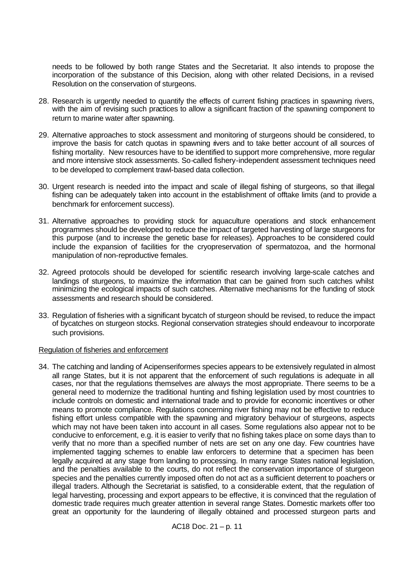needs to be followed by both range States and the Secretariat. It also intends to propose the incorporation of the substance of this Decision, along with other related Decisions, in a revised Resolution on the conservation of sturgeons.

- 28. Research is urgently needed to quantify the effects of current fishing practices in spawning rivers, with the aim of revising such practices to allow a significant fraction of the spawning component to return to marine water after spawning.
- 29. Alternative approaches to stock assessment and monitoring of sturgeons should be considered, to improve the basis for catch quotas in spawning rivers and to take better account of all sources of fishing mortality. New resources have to be identified to support more comprehensive, more regular and more intensive stock assessments. So-called fishery-independent assessment techniques need to be developed to complement trawl-based data collection.
- 30. Urgent research is needed into the impact and scale of illegal fishing of sturgeons, so that illegal fishing can be adequately taken into account in the establishment of offtake limits (and to provide a benchmark for enforcement success).
- 31. Alternative approaches to providing stock for aquaculture operations and stock enhancement programmes should be developed to reduce the impact of targeted harvesting of large sturgeons for this purpose (and to increase the genetic base for releases). Approaches to be considered could include the expansion of facilities for the cryopreservation of spermatozoa, and the hormonal manipulation of non-reproductive females.
- 32. Agreed protocols should be developed for scientific research involving large-scale catches and landings of sturgeons, to maximize the information that can be gained from such catches whilst minimizing the ecological impacts of such catches. Alternative mechanisms for the funding of stock assessments and research should be considered.
- 33. Regulation of fisheries with a significant bycatch of sturgeon should be revised, to reduce the impact of bycatches on sturgeon stocks. Regional conservation strategies should endeavour to incorporate such provisions.

#### Regulation of fisheries and enforcement

34. The catching and landing of Acipenseriformes species appears to be extensively regulated in almost all range States, but it is not apparent that the enforcement of such regulations is adequate in all cases, nor that the regulations themselves are always the most appropriate. There seems to be a general need to modernize the traditional hunting and fishing legislation used by most countries to include controls on domestic and international trade and to provide for economic incentives or other means to promote compliance. Regulations concerning river fishing may not be effective to reduce fishing effort unless compatible with the spawning and migratory behaviour of sturgeons, aspects which may not have been taken into account in all cases. Some regulations also appear not to be conducive to enforcement, e.g. it is easier to verify that no fishing takes place on some days than to verify that no more than a specified number of nets are set on any one day. Few countries have implemented tagging schemes to enable law enforcers to determine that a specimen has been legally acquired at any stage from landing to processing. In many range States national legislation, and the penalties available to the courts, do not reflect the conservation importance of sturgeon species and the penalties currently imposed often do not act as a sufficient deterrent to poachers or illegal traders. Although the Secretariat is satisfied, to a considerable extent, that the regulation of legal harvesting, processing and export appears to be effective, it is convinced that the regulation of domestic trade requires much greater attention in several range States. Domestic markets offer too great an opportunity for the laundering of illegally obtained and processed sturgeon parts and

AC18 Doc. 21 – p. 11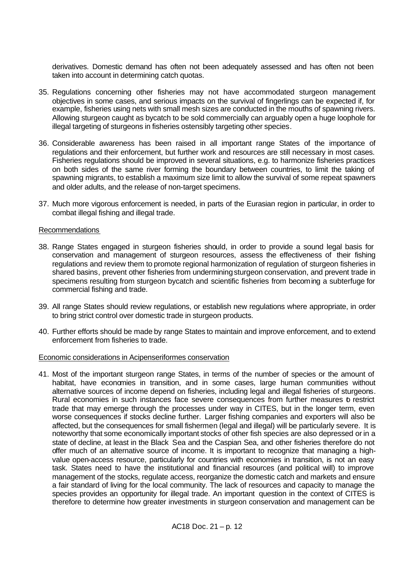derivatives. Domestic demand has often not been adequately assessed and has often not been taken into account in determining catch quotas.

- 35. Regulations concerning other fisheries may not have accommodated sturgeon management objectives in some cases, and serious impacts on the survival of fingerlings can be expected if, for example, fisheries using nets with small mesh sizes are conducted in the mouths of spawning rivers. Allowing sturgeon caught as bycatch to be sold commercially can arguably open a huge loophole for illegal targeting of sturgeons in fisheries ostensibly targeting other species.
- 36. Considerable awareness has been raised in all important range States of the importance of regulations and their enforcement, but further work and resources are still necessary in most cases. Fisheries regulations should be improved in several situations, e.g. to harmonize fisheries practices on both sides of the same river forming the boundary between countries, to limit the taking of spawning migrants, to establish a maximum size limit to allow the survival of some repeat spawners and older adults, and the release of non-target specimens.
- 37. Much more vigorous enforcement is needed, in parts of the Eurasian region in particular, in order to combat illegal fishing and illegal trade.

### Recommendations

- 38. Range States engaged in sturgeon fisheries should, in order to provide a sound legal basis for conservation and management of sturgeon resources, assess the effectiveness of their fishing regulations and review them to promote regional harmonization of regulation of sturgeon fisheries in shared basins, prevent other fisheries from undermining sturgeon conservation, and prevent trade in specimens resulting from sturgeon bycatch and scientific fisheries from becoming a subterfuge for commercial fishing and trade.
- 39. All range States should review regulations, or establish new regulations where appropriate, in order to bring strict control over domestic trade in sturgeon products.
- 40. Further efforts should be made by range States to maintain and improve enforcement, and to extend enforcement from fisheries to trade.

### Economic considerations in Acipenseriformes conservation

41. Most of the important sturgeon range States, in terms of the number of species or the amount of habitat, have economies in transition, and in some cases, large human communities without alternative sources of income depend on fisheries, including legal and illegal fisheries of sturgeons. Rural economies in such instances face severe consequences from further measures o restrict trade that may emerge through the processes under way in CITES, but in the longer term, even worse consequences if stocks decline further. Larger fishing companies and exporters will also be affected, but the consequences for small fishermen (legal and illegal) will be particularly severe. It is noteworthy that some economically important stocks of other fish species are also depressed or in a state of decline, at least in the Black Sea and the Caspian Sea, and other fisheries therefore do not offer much of an alternative source of income. It is important to recognize that managing a highvalue open-access resource, particularly for countries with economies in transition, is not an easy task. States need to have the institutional and financial resources (and political will) to improve management of the stocks, regulate access, reorganize the domestic catch and markets and ensure a fair standard of living for the local community. The lack of resources and capacity to manage the species provides an opportunity for illegal trade. An important question in the context of CITES is therefore to determine how greater investments in sturgeon conservation and management can be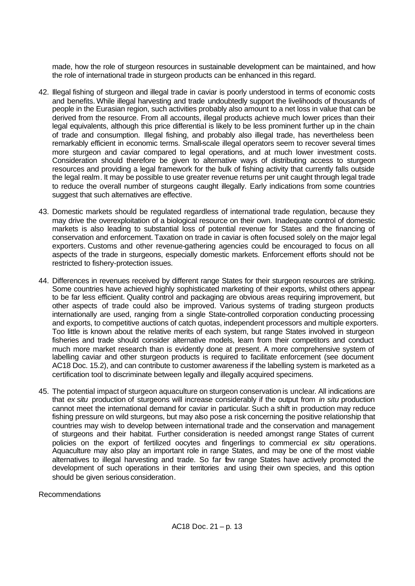made, how the role of sturgeon resources in sustainable development can be maintained, and how the role of international trade in sturgeon products can be enhanced in this regard.

- 42. Illegal fishing of sturgeon and illegal trade in caviar is poorly understood in terms of economic costs and benefits. While illegal harvesting and trade undoubtedly support the livelihoods of thousands of people in the Eurasian region, such activities probably also amount to a net loss in value that can be derived from the resource. From all accounts, illegal products achieve much lower prices than their legal equivalents, although this price differential is likely to be less prominent further up in the chain of trade and consumption. Illegal fishing, and probably also illegal trade, has nevertheless been remarkably efficient in economic terms. Small-scale illegal operators seem to recover several times more sturgeon and caviar compared to legal operations, and at much lower investment costs. Consideration should therefore be given to alternative ways of distributing access to sturgeon resources and providing a legal framework for the bulk of fishing activity that currently falls outside the legal realm. It may be possible to use greater revenue returns per unit caught through legal trade to reduce the overall number of sturgeons caught illegally. Early indications from some countries suggest that such alternatives are effective.
- 43. Domestic markets should be regulated regardless of international trade regulation, because they may drive the overexploitation of a biological resource on their own. Inadequate control of domestic markets is also leading to substantial loss of potential revenue for States and the financing of conservation and enforcement. Taxation on trade in caviar is often focused solely on the major legal exporters. Customs and other revenue-gathering agencies could be encouraged to focus on all aspects of the trade in sturgeons, especially domestic markets. Enforcement efforts should not be restricted to fishery-protection issues.
- 44. Differences in revenues received by different range States for their sturgeon resources are striking. Some countries have achieved highly sophisticated marketing of their exports, whilst others appear to be far less efficient. Quality control and packaging are obvious areas requiring improvement, but other aspects of trade could also be improved. Various systems of trading sturgeon products internationally are used, ranging from a single State-controlled corporation conducting processing and exports, to competitive auctions of catch quotas, independent processors and multiple exporters. Too little is known about the relative merits of each system, but range States involved in sturgeon fisheries and trade should consider alternative models, learn from their competitors and conduct much more market research than is evidently done at present. A more comprehensive system of labelling caviar and other sturgeon products is required to facilitate enforcement (see document AC18 Doc. 15.2), and can contribute to customer awareness if the labelling system is marketed as a certification tool to discriminate between legally and illegally acquired specimens.
- 45. The potential impact of sturgeon aquaculture on sturgeon conservation is unclear. All indications are that *ex situ* production of sturgeons will increase considerably if the output from *in situ* production cannot meet the international demand for caviar in particular. Such a shift in production may reduce fishing pressure on wild sturgeons, but may also pose a risk concerning the positive relationship that countries may wish to develop between international trade and the conservation and management of sturgeons and their habitat. Further consideration is needed amongst range States of current policies on the export of fertilized oocytes and fingerlings to commercial *ex situ* operations. Aquaculture may also play an important role in range States, and may be one of the most viable alternatives to illegal harvesting and trade. So far few range States have actively promoted the development of such operations in their territories and using their own species, and this option should be given serious consideration.

Recommendations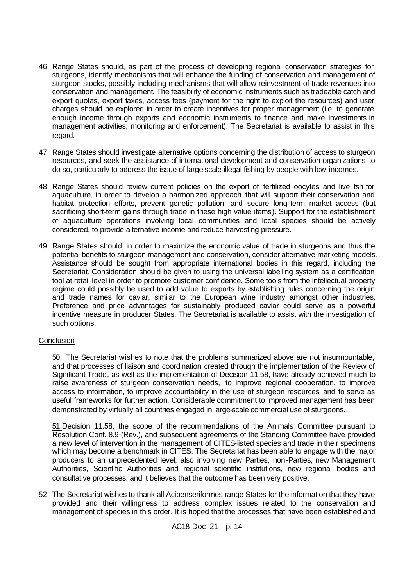- 46. Range States should, as part of the process of developing regional conservation strategies for sturgeons, identify mechanisms that will enhance the funding of conservation and management of sturgeon stocks, possibly including mechanisms that will allow reinvestment of trade revenues into conservation and management. The feasibility of economic instruments such as tradeable catch and export quotas, export taxes, access fees (payment for the right to exploit the resources) and user charges should be explored in order to create incentives for proper management (i.e. to generate enough income through exports and economic instruments to finance and make investments in management activities, monitoring and enforcement). The Secretariat is available to assist in this regard.
- 47. Range States should investigate alternative options concerning the distribution of access to sturgeon resources, and seek the assistance of international development and conservation organizations to do so, particularly to address the issue of large-scale illegal fishing by people with low incomes.
- 48. Range States should review current policies on the export of fertilized oocytes and live fish for aquaculture, in order to develop a harmonized approach that will support their conservation and habitat protection efforts, prevent genetic pollution, and secure long-term market access (but sacrificing short-term gains through trade in these high value items). Support for the establishment of aquaculture operations involving local communities and local species should be actively considered, to provide alternative income and reduce harvesting pressure.
- 49. Range States should, in order to maximize the economic value of trade in sturgeons and thus the potential benefits to sturgeon management and conservation, consider alternative marketing models. Assistance should be sought from appropriate international bodies in this regard, including the Secretariat. Consideration should be given to using the universal labelling system as a certification tool at retail level in order to promote customer confidence. Some tools from the intellectual property regime could possibly be used to add value to exports by establishing rules concerning the origin and trade names for caviar, similar to the European wine industry amongst other industries. Preference and price advantages for sustainably produced caviar could serve as a powerful incentive measure in producer States. The Secretariat is available to assist with the investigation of such options.

### **Conclusion**

50. The Secretariat wishes to note that the problems summarized above are not insurmountable, and that processes of liaison and coordination created through the implementation of the Review of Significant Trade, as well as the implementation of Decision 11.58, have already achieved much to raise awareness of sturgeon conservation needs, to improve regional cooperation, to improve access to information, to improve accountability in the use of sturgeon resources and to serve as useful frameworks for further action. Considerable commitment to improved management has been demonstrated by virtually all countries engaged in large-scale commercial use of sturgeons.

51.Decision 11.58, the scope of the recommendations of the Animals Committee pursuant to Resolution Conf. 8.9 (Rev.), and subsequent agreements of the Standing Committee have provided a new level of intervention in the management of CITES-listed species and trade in their specimens which may become a benchmark in CITES. The Secretariat has been able to engage with the major producers to an unprecedented level, also involving new Parties, non-Parties, new Management Authorities, Scientific Authorities and regional scientific institutions, new regional bodies and consultative processes, and it believes that the outcome has been very positive.

52. The Secretariat wishes to thank all Acipenseriformes range States for the information that they have provided and their willingness to address complex issues related to the conservation and management of species in this order. It is hoped that the processes that have been established and